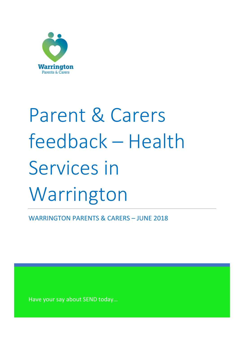

# Parent & Carers feedback – Health Services in Warrington

WARRINGTON PARENTS & CARERS – JUNE 2018

Have your say about SEND today…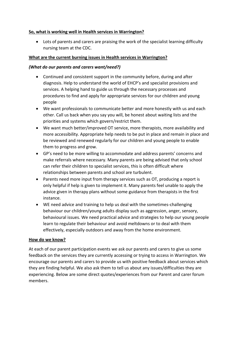# **So, what is working well in Health services in Warrington?**

• Lots of parents and carers are praising the work of the specialist learning difficulty nursing team at the CDC.

# **What are the current burning issues in Health services in Warrington?**

# *(What do our parents and carers want/need?)*

- Continued and consistent support in the community before, during and after diagnosis. Help to understand the world of EHCP's and specialist provisions and services. A helping hand to guide us through the necessary processes and procedures to find and apply for appropriate services for our children and young people
- We want professionals to communicate better and more honestly with us and each other. Call us back when you say you will, be honest about waiting lists and the priorities and systems which govern/restrict them.
- We want much better/improved OT service, more therapists, more availability and more accessibility. Appropriate help needs to be put in place and remain in place and be reviewed and renewed regularly for our children and young people to enable them to progress and grow.
- GP's need to be more willing to accommodate and address parents' concerns and make referrals where necessary. Many parents are being advised that only school can refer their children to specialist services, this is often difficult where relationships between parents and school are turbulent.
- Parents need more input from therapy services such as OT, producing a report is only helpful if help is given to implement it. Many parents feel unable to apply the advice given in therapy plans without some guidance from therapists in the first instance.
- WE need advice and training to help us deal with the sometimes-challenging behaviour our children/young adults display such as aggression, anger, sensory, behavioural issues. We need practical advice and strategies to help our young people learn to regulate their behaviour and avoid meltdowns or to deal with them effectively, especially outdoors and away from the home environment.

# **How do we know?**

At each of our parent participation events we ask our parents and carers to give us some feedback on the services they are currently accessing or trying to access in Warrington. We encourage our parents and carers to provide us with positive feedback about services which they are finding helpful. We also ask them to tell us about any issues/difficulties they are experiencing. Below are some direct quotes/experiences from our Parent and carer forum members.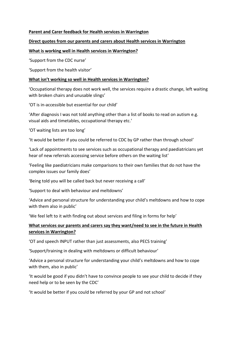#### **Parent and Carer feedback for Health services in Warrington**

# **Direct quotes from our parents and carers about Health services in Warrington**

#### **What is working well in Health services in Warrington?**

'Support from the CDC nurse'

'Support from the health visitor'

#### **What isn't working so well in Health services in Warrington?**

'Occupational therapy does not work well, the services require a drastic change, left waiting with broken chairs and unusable slings'

'OT is in-accessible but essential for our child'

'After diagnosis I was not told anything other than a list of books to read on autism e.g. visual aids and timetables, occupational therapy etc.'

'OT waiting lists are too long'

'It would be better if you could be referred to CDC by GP rather than through school'

'Lack of appointments to see services such as occupational therapy and paediatricians yet hear of new referrals accessing service before others on the waiting list'

'Feeling like paediatricians make comparisons to their own families that do not have the complex issues our family does'

'Being told you will be called back but never receiving a call'

'Support to deal with behaviour and meltdowns'

'Advice and personal structure for understanding your child's meltdowns and how to cope with them also in public'

'We feel left to it with finding out about services and filing in forms for help'

# **What services our parents and carers say they want/need to see in the future in Health services in Warrington?**

'OT and speech INPUT rather than just assessments, also PECS training'

'Support/training in dealing with meltdowns or difficult behaviour'

'Advice a personal structure for understanding your child's meltdowns and how to cope with them, also in public'

'It would be good if you didn't have to convince people to see your child to decide if they need help or to be seen by the CDC'

'It would be better if you could be referred by your GP and not school'